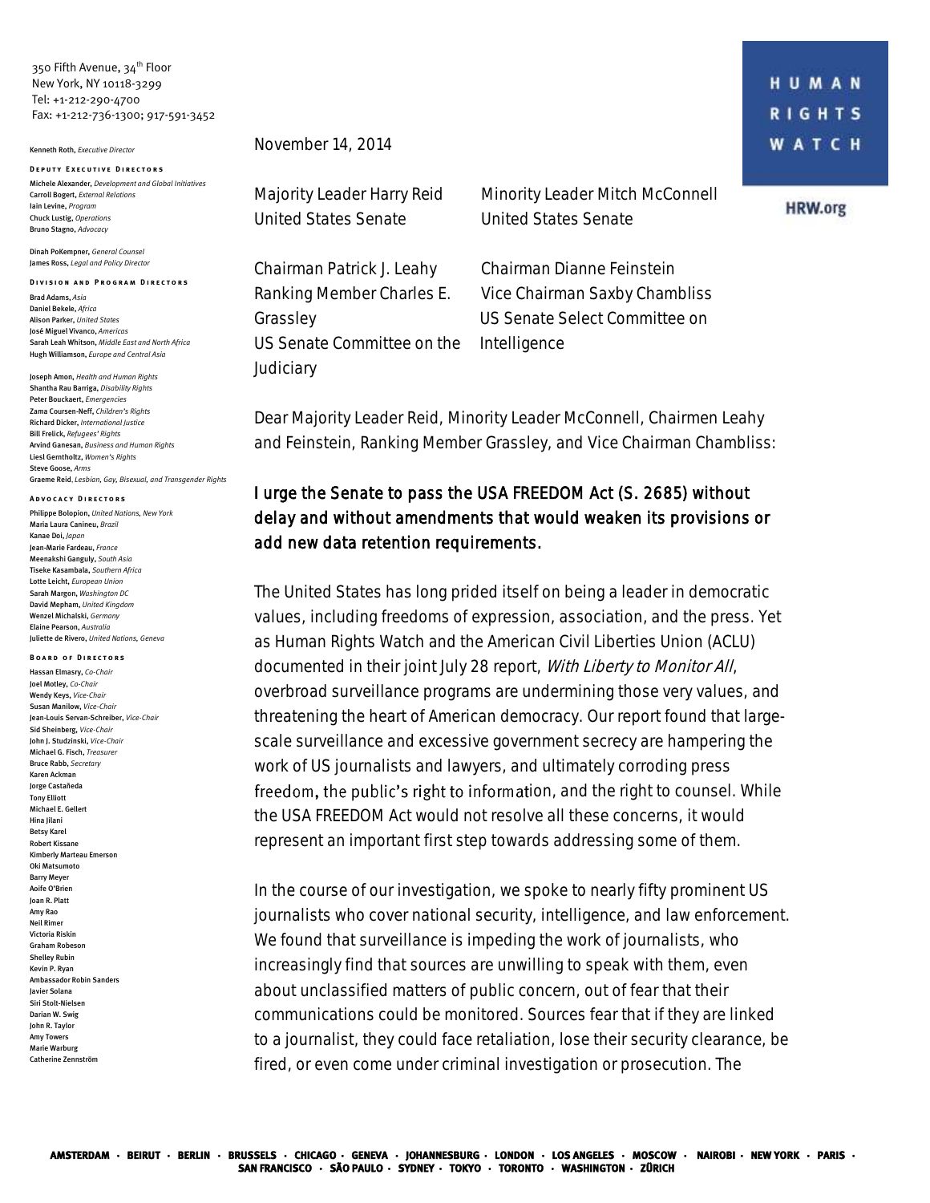350 Fifth Avenue, 34<sup>th</sup> Floor New York, NY 10118-3299 Tel: +1-212-290-4700 Fax: +1-212-736-1300; 917-591-3452

## Kenneth Roth, *Executive Director*

**D e p u t y E x e c u t i v e D i r e c t o r s** Michele Alexander, *Development and Global Initiatives*  Carroll Bogert, *External Relations* Iain Levine, *Program* Chuck Lustig, *Operations* Bruno Stagno, *Advocacy*

Dinah PoKempner, *General Counsel* James Ross, *Legal and Policy Director*

**DIVISION AND PROGRAM DIRECTORS** Brad Adams, *Asia* Daniel Bekele, *Africa* Alison Parker, *United States* José Miguel Vivanco, *Americas* Sarah Leah Whitson, *Middle East and North Africa* Hugh Williamson, *Europe and Central Asia*

Joseph Amon, *Health and Human Rights* Shantha Rau Barriga, *Disability Rights*  Peter Bouckaert, *Emergencies* Zama Coursen-Neff, *Children's Rights* Richard Dicker, *International Justice* Bill Frelick, *Refugees' Rights* Arvind Ganesan, *Business and Human Rights* Liesl Gerntholtz, *Women's Rights* Steve Goose, *Arms*  Graeme Reid, *Lesbian, Gay, Bisexual, and Transgender Rights*

**A d v o c a c y D i r e c t o r s**

Philippe Bolopion, *United Nations, New York* Maria Laura Canineu, *Brazil* Kanae Doi, *Japan* Jean-Marie Fardeau, *France* Meenakshi Ganguly, *South Asia* Tiseke Kasambala, *Southern Africa* Lotte Leicht, *European Union* Sarah Margon, *Washington DC* David Mepham, *United Kingdom* Wenzel Michalski, *Germany*  Elaine Pearson, *Australia* Juliette de Rivero, *United Nations, Geneva*

## **BOARD OF DIRECTORS**

Hassan Elmasry, *Co-Chair* Joel Motley, *Co-Chair* Wendy Keys, *Vice-Chair* Susan Manilow, *Vice-Chair* Jean-Louis Servan-Schreiber, *Vice-Chair* Sid Sheinberg, *Vice-Chair* John J. Studzinski, *Vice-Chair* Michael G. Fisch, *Treasurer* Bruce Rabb, *Secretary* Karen Ackman Jorge Castañeda Tony Elliott Michael E. Gellert Hina Jilani Betsy Karel Robert Kissane Kimberly Marteau Emerson Oki Matsumoto Barry Meyer Aoife O'Brien Joan R. Platt Amy Rao Neil Rimer Victoria Riskin Graham Robeson Shelley Rubin Kevin P. Ryan Ambassador Robin Sanders Javier Solana Siri Stolt-Nielsen Darian W. Swig John R. Taylor Amy Towers Marie Warburg Catherine Zennström

November 14, 2014

Majority Leader Harry Reid United States Senate

Chairman Patrick J. Leahy Ranking Member Charles E. Grassley US Senate Committee on the **Judiciary** 

Minority Leader Mitch McConnell United States Senate

Chairman Dianne Feinstein Vice Chairman Saxby Chambliss US Senate Select Committee on Intelligence

**HRW.org** 

Dear Majority Leader Reid, Minority Leader McConnell, Chairmen Leahy and Feinstein, Ranking Member Grassley, and Vice Chairman Chambliss:

## I urge the Senate to pass the USA FREEDOM Act (S. 2685) without delay and without amendments that would weaken its provisions or add new data retention requirements.

The United States has long prided itself on being a leader in democratic values, including freedoms of expression, association, and the press. Yet as Human Rights Watch and the American Civil Liberties Union (ACLU) documented in their joint July 28 report, With Liberty to Monitor All, overbroad surveillance programs are undermining those very values, and threatening the heart of American democracy. Our report found that largescale surveillance and excessive government secrecy are hampering the work of US journalists and lawyers, and ultimately corroding press freedom, the public's right to information, and the right to counsel. While the USA FREEDOM Act would not resolve all these concerns, it would represent an important first step towards addressing some of them.

In the course of our investigation, we spoke to nearly fifty prominent US journalists who cover national security, intelligence, and law enforcement. We found that surveillance is impeding the work of journalists, who increasingly find that sources are unwilling to speak with them, even about unclassified matters of public concern, out of fear that their communications could be monitored. Sources fear that if they are linked to a journalist, they could face retaliation, lose their security clearance, be fired, or even come under criminal investigation or prosecution. The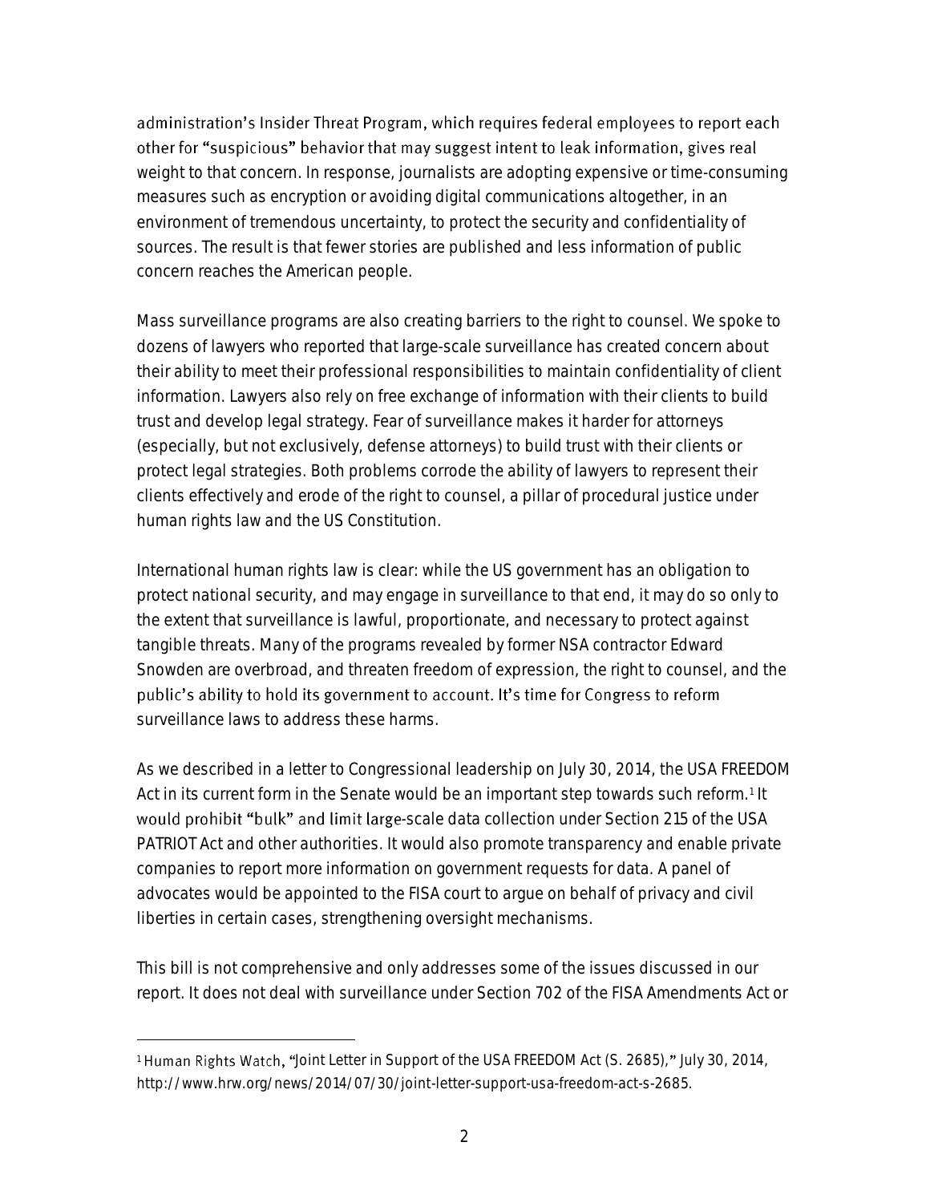administration's Insider Threat Program, which requires federal employees to report each other for "suspicious" behavior that may suggest intent to leak information, gives real weight to that concern. In response, journalists are adopting expensive or time-consuming measures such as encryption or avoiding digital communications altogether, in an environment of tremendous uncertainty, to protect the security and confidentiality of sources. The result is that fewer stories are published and less information of public concern reaches the American people.

Mass surveillance programs are also creating barriers to the right to counsel. We spoke to dozens of lawyers who reported that large-scale surveillance has created concern about their ability to meet their professional responsibilities to maintain confidentiality of client information. Lawyers also rely on free exchange of information with their clients to build trust and develop legal strategy. Fear of surveillance makes it harder for attorneys (especially, but not exclusively, defense attorneys) to build trust with their clients or protect legal strategies. Both problems corrode the ability of lawyers to represent their clients effectively and erode of the right to counsel, a pillar of procedural justice under human rights law and the US Constitution.

International human rights law is clear: while the US government has an obligation to protect national security, and may engage in surveillance to that end, it may do so only to the extent that surveillance is lawful, proportionate, and necessary to protect against tangible threats. Many of the programs revealed by former NSA contractor Edward Snowden are overbroad, and threaten freedom of expression, the right to counsel, and the public's ability to hold its government to account. It's time for Congress to reform surveillance laws to address these harms.

As we described in a letter to Congressional leadership on July 30, 2014, the USA FREEDOM Act in its current form in the Senate would be an important step towards such reform.<sup>1</sup> It would prohibit "bulk" and limit large-scale data collection under Section 215 of the USA PATRIOT Act and other authorities. It would also promote transparency and enable private companies to report more information on government requests for data. A panel of advocates would be appointed to the FISA court to argue on behalf of privacy and civil liberties in certain cases, strengthening oversight mechanisms.

This bill is not comprehensive and only addresses some of the issues discussed in our report. It does not deal with surveillance under Section 702 of the FISA Amendments Act or

 $\overline{a}$ 

<sup>&</sup>lt;sup>1</sup> Human Rights Watch, "Joint Letter in Support of the USA FREEDOM Act (S. 2685)," July 30, 2014, http://www.hrw.org/news/2014/07/30/joint-letter-support-usa-freedom-act-s-2685.